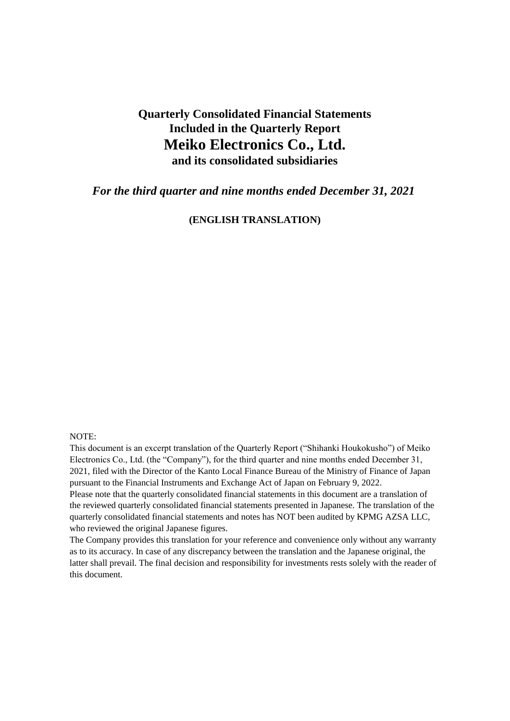# **Quarterly Consolidated Financial Statements Included in the Quarterly Report Meiko Electronics Co., Ltd. and its consolidated subsidiaries**

*For the third quarter and nine months ended December 31, 2021*

**(ENGLISH TRANSLATION)**

#### NOTE:

This document is an excerpt translation of the Quarterly Report ("Shihanki Houkokusho") of Meiko Electronics Co., Ltd. (the "Company"), for the third quarter and nine months ended December 31, 2021, filed with the Director of the Kanto Local Finance Bureau of the Ministry of Finance of Japan pursuant to the Financial Instruments and Exchange Act of Japan on February 9, 2022.

Please note that the quarterly consolidated financial statements in this document are a translation of the reviewed quarterly consolidated financial statements presented in Japanese. The translation of the quarterly consolidated financial statements and notes has NOT been audited by KPMG AZSA LLC, who reviewed the original Japanese figures.

The Company provides this translation for your reference and convenience only without any warranty as to its accuracy. In case of any discrepancy between the translation and the Japanese original, the latter shall prevail. The final decision and responsibility for investments rests solely with the reader of this document.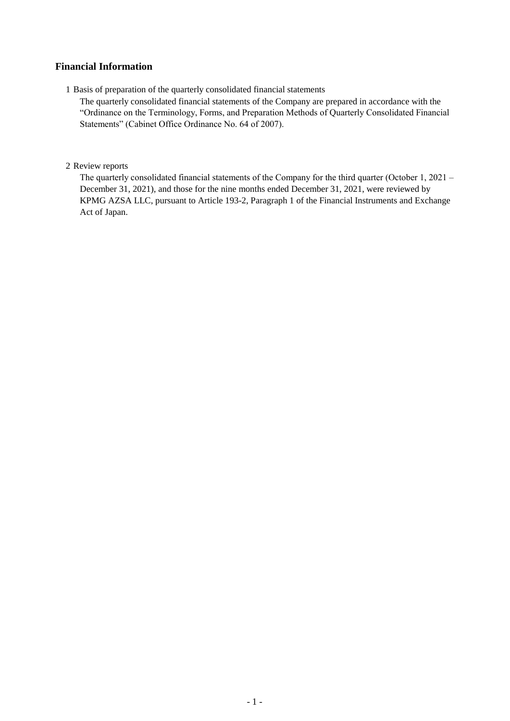## **Financial Information**

1 Basis of preparation of the quarterly consolidated financial statements

The quarterly consolidated financial statements of the Company are prepared in accordance with the "Ordinance on the Terminology, Forms, and Preparation Methods of Quarterly Consolidated Financial Statements" (Cabinet Office Ordinance No. 64 of 2007).

## 2 Review reports

The quarterly consolidated financial statements of the Company for the third quarter (October 1, 2021 – December 31, 2021), and those for the nine months ended December 31, 2021, were reviewed by KPMG AZSA LLC, pursuant to Article 193-2, Paragraph 1 of the Financial Instruments and Exchange Act of Japan.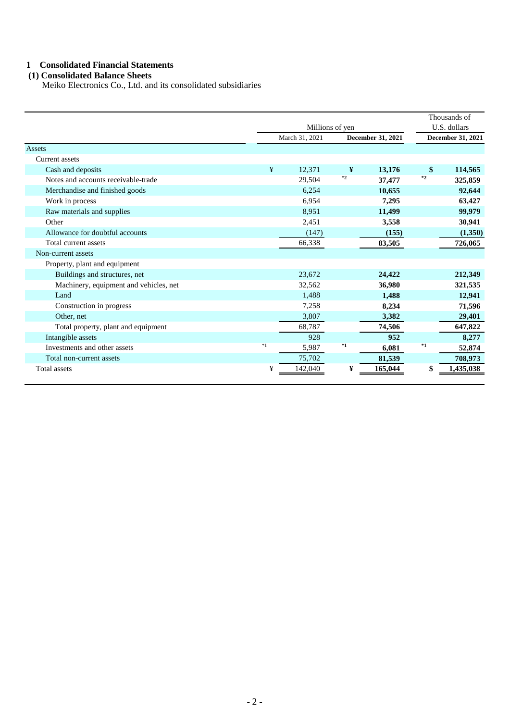## **1 Consolidated Financial Statements**

## **(1) Consolidated Balance Sheets**

Meiko Electronics Co., Ltd. and its consolidated subsidiaries

|                                        |                 |                |         |                   |      | Thousands of             |
|----------------------------------------|-----------------|----------------|---------|-------------------|------|--------------------------|
|                                        | Millions of yen |                |         |                   |      | U.S. dollars             |
|                                        |                 | March 31, 2021 |         | December 31, 2021 |      | <b>December 31, 2021</b> |
| <b>Assets</b>                          |                 |                |         |                   |      |                          |
| <b>Current</b> assets                  |                 |                |         |                   |      |                          |
| Cash and deposits                      | ¥               | 12,371         | ¥       | 13,176            | \$   | 114,565                  |
| Notes and accounts receivable-trade    |                 | 29,504         | $*_{2}$ | 37,477            | $*2$ | 325,859                  |
| Merchandise and finished goods         |                 | 6,254          |         | 10,655            |      | 92,644                   |
| Work in process                        |                 | 6,954          |         | 7,295             |      | 63,427                   |
| Raw materials and supplies             |                 | 8,951          |         | 11,499            |      | 99,979                   |
| Other                                  |                 | 2,451          |         | 3,558             |      | 30,941                   |
| Allowance for doubtful accounts        |                 | (147)          |         | (155)             |      | (1,350)                  |
| Total current assets                   |                 | 66,338         |         | 83,505            |      | 726,065                  |
| Non-current assets                     |                 |                |         |                   |      |                          |
| Property, plant and equipment          |                 |                |         |                   |      |                          |
| Buildings and structures, net          |                 | 23,672         |         | 24,422            |      | 212,349                  |
| Machinery, equipment and vehicles, net |                 | 32,562         |         | 36,980            |      | 321,535                  |
| Land                                   |                 | 1,488          |         | 1,488             |      | 12,941                   |
| Construction in progress               |                 | 7,258          |         | 8,234             |      | 71,596                   |
| Other, net                             |                 | 3,807          |         | 3,382             |      | 29,401                   |
| Total property, plant and equipment    |                 | 68,787         |         | 74,506            |      | 647,822                  |
| Intangible assets                      |                 | 928            |         | 952               |      | 8,277                    |
| Investments and other assets           | $*1$            | 5,987          | $*1$    | 6,081             | $*1$ | 52,874                   |
| Total non-current assets               |                 | 75,702         |         | 81,539            |      | 708,973                  |
| Total assets                           | ¥               | 142,040        | ¥       | 165,044           | \$   | 1,435,038                |
|                                        |                 |                |         |                   |      |                          |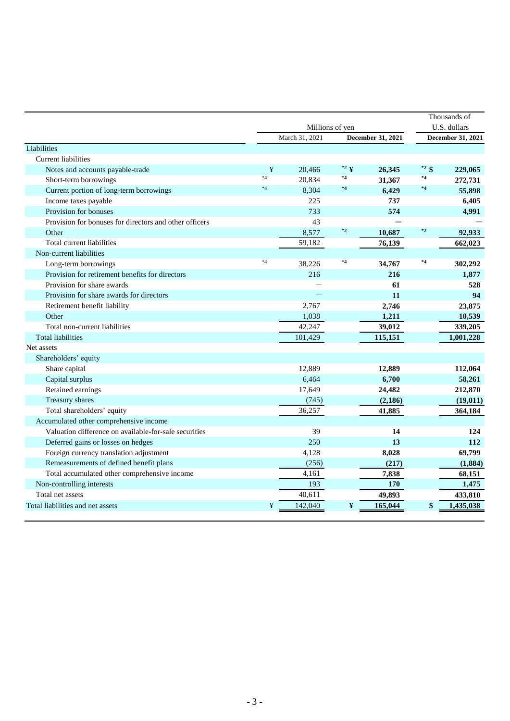|                                                           |         |                                      |                     |                 |                                   | Thousands of       |
|-----------------------------------------------------------|---------|--------------------------------------|---------------------|-----------------|-----------------------------------|--------------------|
|                                                           |         | Millions of yen<br>December 31, 2021 |                     |                 | U.S. dollars<br>December 31, 2021 |                    |
|                                                           |         | March 31, 2021                       |                     |                 |                                   |                    |
| Liabilities<br><b>Current liabilities</b>                 |         |                                      |                     |                 |                                   |                    |
|                                                           | ¥       | 20,466                               | $^*$ <sup>2</sup> ¥ |                 | $*^2$ \$                          |                    |
| Notes and accounts payable-trade<br>Short-term borrowings | $*4$    | 20,834                               | *4                  | 26,345          | $^{\ast}4$                        | 229,065<br>272,731 |
| Current portion of long-term borrowings                   | $*4$    | 8,304                                | $*4$                | 31,367<br>6,429 | $^{\ast4}$                        | 55,898             |
| Income taxes payable                                      |         | 225                                  |                     | 737             |                                   | 6,405              |
| Provision for bonuses                                     |         | 733                                  |                     | 574             |                                   | 4,991              |
| Provision for bonuses for directors and other officers    |         |                                      |                     |                 |                                   |                    |
| Other                                                     |         | 43<br>8,577                          | $\ast_2$            |                 | $^{\ast2}$                        |                    |
|                                                           |         |                                      |                     | 10,687          |                                   | 92,933             |
| Total current liabilities                                 |         | 59,182                               |                     | 76,139          |                                   | 662,023            |
| Non-current liabilities                                   | $*_{4}$ |                                      | $*4$                |                 | $^{\ast}4$                        |                    |
| Long-term borrowings                                      |         | 38,226                               |                     | 34,767          |                                   | 302,292            |
| Provision for retirement benefits for directors           |         | 216                                  |                     | 216             |                                   | 1,877              |
| Provision for share awards                                |         |                                      |                     | 61              |                                   | 528                |
| Provision for share awards for directors                  |         |                                      |                     | 11              |                                   | 94                 |
| Retirement benefit liability                              |         | 2,767                                |                     | 2,746           |                                   | 23,875             |
| Other                                                     |         | 1,038                                |                     | 1,211           |                                   | 10,539             |
| Total non-current liabilities                             |         | 42,247                               |                     | 39,012          |                                   | 339,205            |
| <b>Total liabilities</b>                                  |         | 101,429                              |                     | 115,151         |                                   | 1,001,228          |
| Net assets                                                |         |                                      |                     |                 |                                   |                    |
| Shareholders' equity                                      |         |                                      |                     |                 |                                   |                    |
| Share capital                                             |         | 12,889                               |                     | 12,889          |                                   | 112,064            |
| Capital surplus                                           |         | 6,464                                |                     | 6,700           |                                   | 58,261             |
| Retained earnings                                         |         | 17,649                               |                     | 24,482          |                                   | 212,870            |
| Treasury shares                                           |         | (745)                                |                     | (2, 186)        |                                   | (19, 011)          |
| Total shareholders' equity                                |         | 36,257                               |                     | 41,885          |                                   | 364,184            |
| Accumulated other comprehensive income                    |         |                                      |                     |                 |                                   |                    |
| Valuation difference on available-for-sale securities     |         | 39                                   |                     | 14              |                                   | 124                |
| Deferred gains or losses on hedges                        |         | 250                                  |                     | 13              |                                   | 112                |
| Foreign currency translation adjustment                   |         | 4,128                                |                     | 8,028           |                                   | 69,799             |
| Remeasurements of defined benefit plans                   |         | (256)                                |                     | (217)           |                                   | (1,884)            |
| Total accumulated other comprehensive income              |         | 4,161                                |                     | 7,838           |                                   | 68,151             |
| Non-controlling interests                                 |         | 193                                  |                     | 170             |                                   | 1,475              |
| Total net assets                                          |         | 40,611                               |                     | 49,893          |                                   | 433,810            |
| Total liabilities and net assets                          | ¥       | 142,040                              | ¥                   | 165,044         | \$                                | 1,435,038          |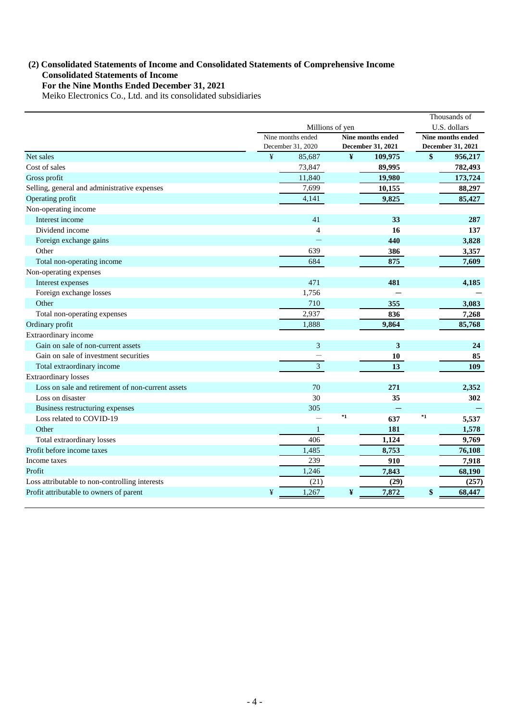## **(2) Consolidated Statements of Income and Consolidated Statements of Comprehensive Income For the Nine Months Ended December 31, 2021 Consolidated Statements of Income**

Meiko Electronics Co., Ltd. and its consolidated subsidiaries

|                                                   |   | Millions of yen                        |              |                                        | Thousands of<br>U.S. dollars |                                        |
|---------------------------------------------------|---|----------------------------------------|--------------|----------------------------------------|------------------------------|----------------------------------------|
|                                                   |   | Nine months ended<br>December 31, 2020 |              | Nine months ended<br>December 31, 2021 |                              | Nine months ended<br>December 31, 2021 |
| Net sales                                         | ¥ | 85,687                                 | $\pmb{\Psi}$ | 109,975                                | \$                           | 956,217                                |
| Cost of sales                                     |   | 73,847                                 |              | 89,995                                 |                              | 782,493                                |
| Gross profit                                      |   | 11,840                                 |              | 19,980                                 |                              | 173,724                                |
| Selling, general and administrative expenses      |   | 7,699                                  |              | 10,155                                 |                              | 88,297                                 |
| Operating profit                                  |   | 4,141                                  |              | 9,825                                  |                              | 85,427                                 |
| Non-operating income                              |   |                                        |              |                                        |                              |                                        |
| Interest income                                   |   | 41                                     |              | 33                                     |                              | 287                                    |
| Dividend income                                   |   | $\overline{4}$                         |              | 16                                     |                              | 137                                    |
| Foreign exchange gains                            |   |                                        |              | 440                                    |                              | 3,828                                  |
| Other                                             |   | 639                                    |              | 386                                    |                              | 3,357                                  |
| Total non-operating income                        |   | 684                                    |              | 875                                    |                              | 7,609                                  |
| Non-operating expenses                            |   |                                        |              |                                        |                              |                                        |
| Interest expenses                                 |   | 471                                    |              | 481                                    |                              | 4,185                                  |
| Foreign exchange losses                           |   | 1,756                                  |              |                                        |                              |                                        |
| Other                                             |   | 710                                    |              | 355                                    |                              | 3,083                                  |
| Total non-operating expenses                      |   | 2,937                                  |              | 836                                    |                              | 7,268                                  |
| Ordinary profit                                   |   | 1,888                                  |              | 9,864                                  |                              | 85,768                                 |
| Extraordinary income                              |   |                                        |              |                                        |                              |                                        |
| Gain on sale of non-current assets                |   | 3                                      |              | 3                                      |                              | 24                                     |
| Gain on sale of investment securities             |   |                                        |              | 10                                     |                              | 85                                     |
| Total extraordinary income                        |   | $\mathfrak{Z}$                         |              | 13                                     |                              | 109                                    |
| <b>Extraordinary losses</b>                       |   |                                        |              |                                        |                              |                                        |
| Loss on sale and retirement of non-current assets |   | 70                                     |              | 271                                    |                              | 2,352                                  |
| Loss on disaster                                  |   | 30                                     |              | 35                                     |                              | 302                                    |
| Business restructuring expenses                   |   | 305                                    |              |                                        |                              |                                        |
| Loss related to COVID-19                          |   |                                        | $^*1$        | 637                                    | $^{\ast}1$                   | 5,537                                  |
| Other                                             |   | 1                                      |              | 181                                    |                              | 1,578                                  |
| Total extraordinary losses                        |   | 406                                    |              | 1,124                                  |                              | 9,769                                  |
| Profit before income taxes                        |   | 1,485                                  |              | 8,753                                  |                              | 76,108                                 |
| Income taxes                                      |   | 239                                    |              | 910                                    |                              | 7,918                                  |
| Profit                                            |   | 1,246                                  |              | 7,843                                  |                              | 68,190                                 |
| Loss attributable to non-controlling interests    |   | (21)                                   |              | (29)                                   |                              | (257)                                  |
| Profit attributable to owners of parent           | ¥ | 1,267                                  | ¥            | 7,872                                  | \$                           | 68,447                                 |
|                                                   |   |                                        |              |                                        |                              |                                        |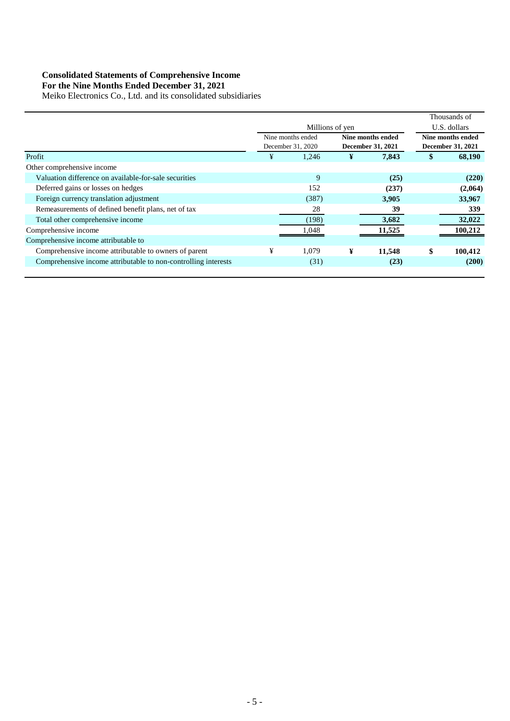#### **Consolidated Statements of Comprehensive Income**

 **For the Nine Months Ended December 31, 2021**

Meiko Electronics Co., Ltd. and its consolidated subsidiaries

|                                                                |                   |                   |   |                          |                   | Thousands of             |  |                   |
|----------------------------------------------------------------|-------------------|-------------------|---|--------------------------|-------------------|--------------------------|--|-------------------|
|                                                                | Millions of yen   |                   |   |                          | U.S. dollars      |                          |  |                   |
|                                                                | Nine months ended |                   |   |                          | Nine months ended |                          |  | Nine months ended |
|                                                                |                   | December 31, 2020 |   | <b>December 31, 2021</b> |                   | <b>December 31, 2021</b> |  |                   |
| Profit                                                         | ¥                 | 1,246             | ¥ | 7,843                    | \$                | 68,190                   |  |                   |
| Other comprehensive income                                     |                   |                   |   |                          |                   |                          |  |                   |
| Valuation difference on available-for-sale securities          |                   | 9                 |   | (25)                     |                   | (220)                    |  |                   |
| Deferred gains or losses on hedges                             |                   | 152               |   | (237)                    |                   | (2,064)                  |  |                   |
| Foreign currency translation adjustment                        |                   | (387)             |   | 3,905                    |                   | 33,967                   |  |                   |
| Remeasurements of defined benefit plans, net of tax            |                   | 28                |   | 39                       |                   | 339                      |  |                   |
| Total other comprehensive income                               |                   | (198)             |   | 3,682                    |                   | 32,022                   |  |                   |
| Comprehensive income                                           |                   | 1.048             |   | 11,525                   |                   | 100,212                  |  |                   |
| Comprehensive income attributable to                           |                   |                   |   |                          |                   |                          |  |                   |
| Comprehensive income attributable to owners of parent          | ¥                 | 1,079             | ¥ | 11,548                   | \$                | 100,412                  |  |                   |
| Comprehensive income attributable to non-controlling interests |                   | (31)              |   | (23)                     |                   | (200)                    |  |                   |
|                                                                |                   |                   |   |                          |                   |                          |  |                   |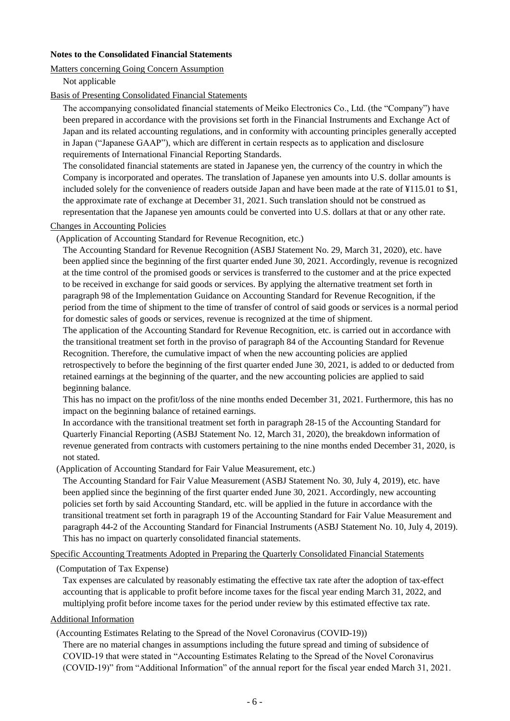## **Notes to the Consolidated Financial Statements**

## Matters concerning Going Concern Assumption

Not applicable

#### Basis of Presenting Consolidated Financial Statements

The accompanying consolidated financial statements of Meiko Electronics Co., Ltd. (the "Company") have been prepared in accordance with the provisions set forth in the Financial Instruments and Exchange Act of Japan and its related accounting regulations, and in conformity with accounting principles generally accepted in Japan ("Japanese GAAP"), which are different in certain respects as to application and disclosure requirements of International Financial Reporting Standards.

The consolidated financial statements are stated in Japanese yen, the currency of the country in which the Company is incorporated and operates. The translation of Japanese yen amounts into U.S. dollar amounts is included solely for the convenience of readers outside Japan and have been made at the rate of ¥115.01 to \$1, the approximate rate of exchange at December 31, 2021. Such translation should not be construed as representation that the Japanese yen amounts could be converted into U.S. dollars at that or any other rate.

#### Changes in Accounting Policies

(Application of Accounting Standard for Revenue Recognition, etc.)

The Accounting Standard for Revenue Recognition (ASBJ Statement No. 29, March 31, 2020), etc. have been applied since the beginning of the first quarter ended June 30, 2021. Accordingly, revenue is recognized at the time control of the promised goods or services is transferred to the customer and at the price expected to be received in exchange for said goods or services. By applying the alternative treatment set forth in paragraph 98 of the Implementation Guidance on Accounting Standard for Revenue Recognition, if the period from the time of shipment to the time of transfer of control of said goods or services is a normal period for domestic sales of goods or services, revenue is recognized at the time of shipment.

The application of the Accounting Standard for Revenue Recognition, etc. is carried out in accordance with the transitional treatment set forth in the proviso of paragraph 84 of the Accounting Standard for Revenue Recognition. Therefore, the cumulative impact of when the new accounting policies are applied retrospectively to before the beginning of the first quarter ended June 30, 2021, is added to or deducted from retained earnings at the beginning of the quarter, and the new accounting policies are applied to said beginning balance.

This has no impact on the profit/loss of the nine months ended December 31, 2021. Furthermore, this has no impact on the beginning balance of retained earnings.

In accordance with the transitional treatment set forth in paragraph 28-15 of the Accounting Standard for Quarterly Financial Reporting (ASBJ Statement No. 12, March 31, 2020), the breakdown information of revenue generated from contracts with customers pertaining to the nine months ended December 31, 2020, is not stated.

(Application of Accounting Standard for Fair Value Measurement, etc.)

The Accounting Standard for Fair Value Measurement (ASBJ Statement No. 30, July 4, 2019), etc. have been applied since the beginning of the first quarter ended June 30, 2021. Accordingly, new accounting policies set forth by said Accounting Standard, etc. will be applied in the future in accordance with the transitional treatment set forth in paragraph 19 of the Accounting Standard for Fair Value Measurement and paragraph 44-2 of the Accounting Standard for Financial Instruments (ASBJ Statement No. 10, July 4, 2019). This has no impact on quarterly consolidated financial statements.

Specific Accounting Treatments Adopted in Preparing the Quarterly Consolidated Financial Statements

## (Computation of Tax Expense)

Tax expenses are calculated by reasonably estimating the effective tax rate after the adoption of tax-effect accounting that is applicable to profit before income taxes for the fiscal year ending March 31, 2022, and multiplying profit before income taxes for the period under review by this estimated effective tax rate.

#### Additional Information

(Accounting Estimates Relating to the Spread of the Novel Coronavirus (COVID-19))

There are no material changes in assumptions including the future spread and timing of subsidence of COVID-19 that were stated in "Accounting Estimates Relating to the Spread of the Novel Coronavirus (COVID-19)" from "Additional Information" of the annual report for the fiscal year ended March 31, 2021.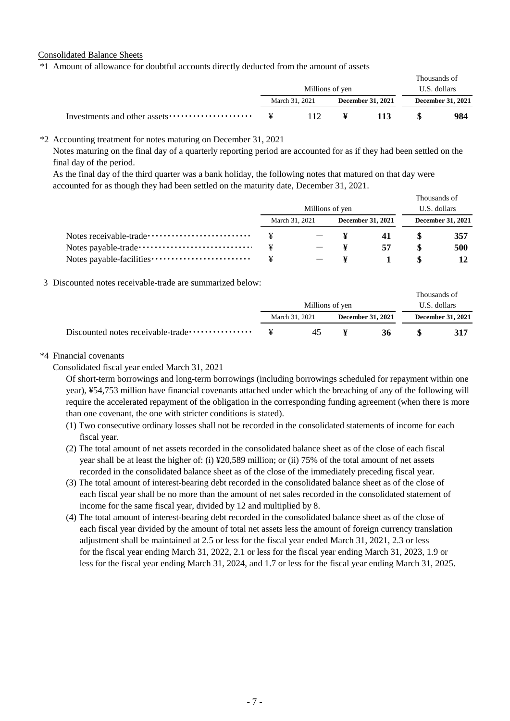Consolidated Balance Sheets

\*1 Amount of allowance for doubtful accounts directly deducted from the amount of assets

|                 |  |  |                   | Thousands of |                   |
|-----------------|--|--|-------------------|--------------|-------------------|
| Millions of yen |  |  | U.S. dollars      |              |                   |
| March 31, 2021  |  |  | December 31, 2021 |              | December 31, 2021 |
| $\mathbf{Y}$    |  |  | 113               |              | 984               |

#### \*2 Accounting treatment for notes maturing on December 31, 2021

Notes maturing on the final day of a quarterly reporting period are accounted for as if they had been settled on the final day of the period.

As the final day of the third quarter was a bank holiday, the following notes that matured on that day were accounted for as though they had been settled on the maturity date, December 31, 2021.

|                                                        |                 |                |  |                   | Thousands of |                          |
|--------------------------------------------------------|-----------------|----------------|--|-------------------|--------------|--------------------------|
|                                                        | Millions of yen |                |  |                   | U.S. dollars |                          |
|                                                        |                 | March 31, 2021 |  | December 31, 2021 |              | <b>December 31, 2021</b> |
| Notes receivable-trade ······························· |                 |                |  |                   |              | 357                      |
| Notes payable-trade ·································· | ¥               |                |  | 57                |              | 500                      |
|                                                        |                 |                |  |                   |              |                          |

3 Discounted notes receivable-trade are summarized below:

|                                                     |                 |     |  |                   | Thousands of |                          |
|-----------------------------------------------------|-----------------|-----|--|-------------------|--------------|--------------------------|
|                                                     | Millions of yen |     |  | U.S. dollars      |              |                          |
|                                                     | March 31, 2021  |     |  | December 31, 2021 |              | <b>December 31, 2021</b> |
| Discounted notes receivable-trade ················· | $\mathbf{Y}$    | 45. |  | 36                |              | 317                      |

#### \*4 Financial covenants

Consolidated fiscal year ended March 31, 2021

Of short-term borrowings and long-term borrowings (including borrowings scheduled for repayment within one year), ¥54,753 million have financial covenants attached under which the breaching of any of the following will require the accelerated repayment of the obligation in the corresponding funding agreement (when there is more than one covenant, the one with stricter conditions is stated).

- (1) Two consecutive ordinary losses shall not be recorded in the consolidated statements of income for each fiscal year.
- (2) The total amount of net assets recorded in the consolidated balance sheet as of the close of each fiscal year shall be at least the higher of: (i) ¥20,589 million; or (ii) 75% of the total amount of net assets recorded in the consolidated balance sheet as of the close of the immediately preceding fiscal year.
- (3) The total amount of interest-bearing debt recorded in the consolidated balance sheet as of the close of each fiscal year shall be no more than the amount of net sales recorded in the consolidated statement of income for the same fiscal year, divided by 12 and multiplied by 8.
- (4) The total amount of interest-bearing debt recorded in the consolidated balance sheet as of the close of each fiscal year divided by the amount of total net assets less the amount of foreign currency translation adjustment shall be maintained at 2.5 or less for the fiscal year ended March 31, 2021, 2.3 or less for the fiscal year ending March 31, 2022, 2.1 or less for the fiscal year ending March 31, 2023, 1.9 or less for the fiscal year ending March 31, 2024, and 1.7 or less for the fiscal year ending March 31, 2025.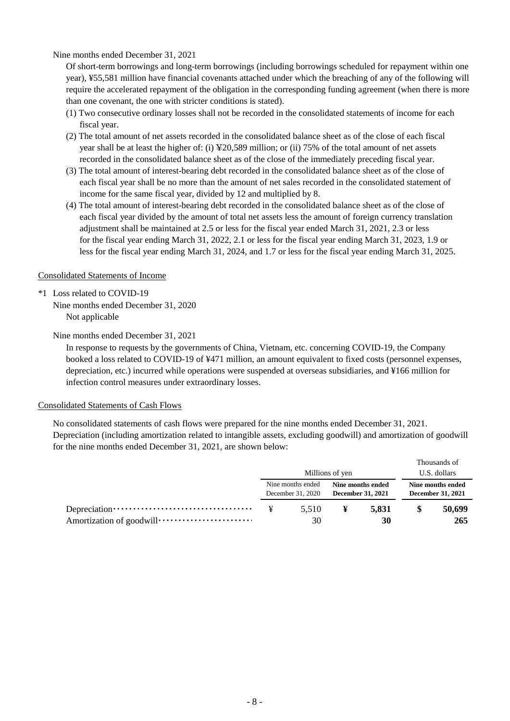Nine months ended December 31, 2021

Of short-term borrowings and long-term borrowings (including borrowings scheduled for repayment within one year), ¥55,581 million have financial covenants attached under which the breaching of any of the following will require the accelerated repayment of the obligation in the corresponding funding agreement (when there is more than one covenant, the one with stricter conditions is stated).

- (1) Two consecutive ordinary losses shall not be recorded in the consolidated statements of income for each fiscal year.
- (2) The total amount of net assets recorded in the consolidated balance sheet as of the close of each fiscal year shall be at least the higher of: (i) ¥20,589 million; or (ii) 75% of the total amount of net assets recorded in the consolidated balance sheet as of the close of the immediately preceding fiscal year.
- (3) The total amount of interest-bearing debt recorded in the consolidated balance sheet as of the close of each fiscal year shall be no more than the amount of net sales recorded in the consolidated statement of income for the same fiscal year, divided by 12 and multiplied by 8.
- (4) The total amount of interest-bearing debt recorded in the consolidated balance sheet as of the close of each fiscal year divided by the amount of total net assets less the amount of foreign currency translation adjustment shall be maintained at 2.5 or less for the fiscal year ended March 31, 2021, 2.3 or less for the fiscal year ending March 31, 2022, 2.1 or less for the fiscal year ending March 31, 2023, 1.9 or less for the fiscal year ending March 31, 2024, and 1.7 or less for the fiscal year ending March 31, 2025.

## Consolidated Statements of Income

\*1 Loss related to COVID-19 Nine months ended December 31, 2020 Not applicable

Nine months ended December 31, 2021

In response to requests by the governments of China, Vietnam, etc. concerning COVID-19, the Company booked a loss related to COVID-19 of ¥471 million, an amount equivalent to fixed costs (personnel expenses, depreciation, etc.) incurred while operations were suspended at overseas subsidiaries, and ¥166 million for infection control measures under extraordinary losses.

## Consolidated Statements of Cash Flows

No consolidated statements of cash flows were prepared for the nine months ended December 31, 2021. Depreciation (including amortization related to intangible assets, excluding goodwill) and amortization of goodwill for the nine months ended December 31, 2021, are shown below:

|                                        | Millions of yen |                                        |       |                                               | Thousands of<br>U.S. dollars |
|----------------------------------------|-----------------|----------------------------------------|-------|-----------------------------------------------|------------------------------|
| Nine months ended<br>December 31, 2020 |                 | Nine months ended<br>December 31, 2021 |       | Nine months ended<br><b>December 31, 2021</b> |                              |
| ¥                                      | 5.510           | ¥                                      | 5.831 | S                                             | 50,699                       |
|                                        | 30              |                                        | 30    |                                               | 265                          |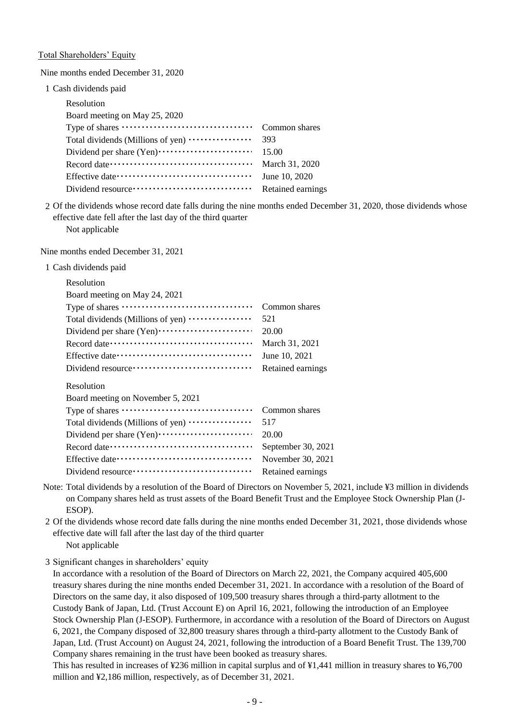Total Shareholders' Equity

Nine months ended December 31, 2020

1 Cash dividends paid

| Resolution                        |                   |
|-----------------------------------|-------------------|
| Board meeting on May 25, 2020     |                   |
|                                   | Common shares     |
| Total dividends (Millions of yen) | 393               |
|                                   | 15.00             |
|                                   | March 31, 2020    |
|                                   | June 10, 2020     |
|                                   | Retained earnings |
|                                   |                   |

2 Of the dividends whose record date falls during the nine months ended December 31, 2020, those dividends whose Not applicable effective date fell after the last day of the third quarter

Nine months ended December 31, 2021

1 Cash dividends paid

| Resolution                                              |                    |
|---------------------------------------------------------|--------------------|
| Board meeting on May 24, 2021                           |                    |
|                                                         | Common shares      |
| Total dividends (Millions of yen)                       | 521                |
|                                                         | 20.00              |
|                                                         | March 31, 2021     |
|                                                         | June 10, 2021      |
| Dividend resource ···································   | Retained earnings  |
|                                                         |                    |
| Resolution                                              |                    |
| Board meeting on November 5, 2021                       | Common shares      |
|                                                         | 517                |
| Total dividends (Millions of yen)                       | 20.00              |
| Dividend per share (Yen) ······························ | September 30, 2021 |
|                                                         | November 30, 2021  |

Note: Total dividends by a resolution of the Board of Directors on November 5, 2021, include ¥3 million in dividends on Company shares held as trust assets of the Board Benefit Trust and the Employee Stock Ownership Plan (J-ESOP).

2 Of the dividends whose record date falls during the nine months ended December 31, 2021, those dividends whose Not applicable effective date will fall after the last day of the third quarter

3 Significant changes in shareholders' equity

In accordance with a resolution of the Board of Directors on March 22, 2021, the Company acquired 405,600 treasury shares during the nine months ended December 31, 2021. In accordance with a resolution of the Board of Directors on the same day, it also disposed of 109,500 treasury shares through a third-party allotment to the Custody Bank of Japan, Ltd. (Trust Account E) on April 16, 2021, following the introduction of an Employee Stock Ownership Plan (J-ESOP). Furthermore, in accordance with a resolution of the Board of Directors on August 6, 2021, the Company disposed of 32,800 treasury shares through a third-party allotment to the Custody Bank of Japan, Ltd. (Trust Account) on August 24, 2021, following the introduction of a Board Benefit Trust. The 139,700 Company shares remaining in the trust have been booked as treasury shares.

This has resulted in increases of ¥236 million in capital surplus and of ¥1,441 million in treasury shares to ¥6,700 million and ¥2,186 million, respectively, as of December 31, 2021.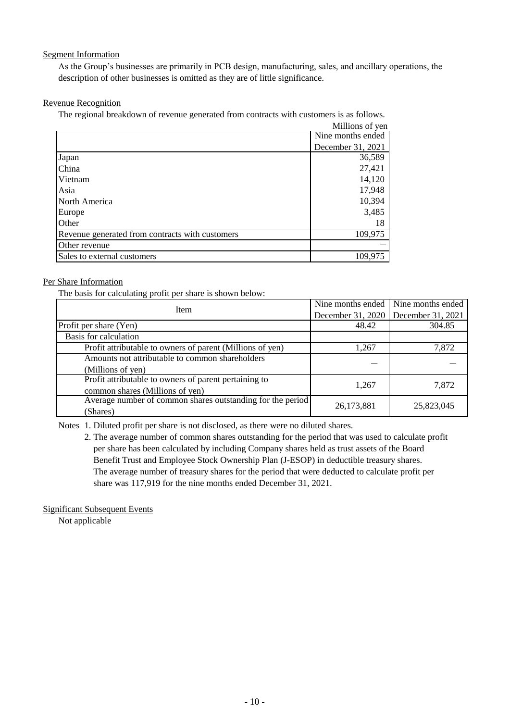## Segment Information

As the Group's businesses are primarily in PCB design, manufacturing, sales, and ancillary operations, the description of other businesses is omitted as they are of little significance.

## Revenue Recognition

The regional breakdown of revenue generated from contracts with customers is as follows.

|                                                 | Millions of yen   |
|-------------------------------------------------|-------------------|
|                                                 | Nine months ended |
|                                                 | December 31, 2021 |
| Japan                                           | 36,589            |
| China                                           | 27,421            |
| Vietnam                                         | 14,120            |
| Asia                                            | 17,948            |
| North America                                   | 10,394            |
| Europe                                          | 3,485             |
| Other                                           | 18                |
| Revenue generated from contracts with customers | 109,975           |
| Other revenue                                   |                   |
| Sales to external customers                     | 109,975           |

## Per Share Information

The basis for calculating profit per share is shown below:

| Item                                                       |                   | Nine months ended Nine months ended |
|------------------------------------------------------------|-------------------|-------------------------------------|
|                                                            | December 31, 2020 | December 31, 2021                   |
| Profit per share (Yen)                                     | 48.42             | 304.85                              |
| Basis for calculation                                      |                   |                                     |
| Profit attributable to owners of parent (Millions of yen)  | 1,267             | 7,872                               |
| Amounts not attributable to common shareholders            |                   |                                     |
| (Millions of yen)                                          |                   |                                     |
| Profit attributable to owners of parent pertaining to      | 1,267             | 7,872                               |
| common shares (Millions of yen)                            |                   |                                     |
| Average number of common shares outstanding for the period | 26,173,881        | 25,823,045                          |
| (Shares)                                                   |                   |                                     |

Notes 1. Diluted profit per share is not disclosed, as there were no diluted shares.

2. The average number of common shares outstanding for the period that was used to calculate profit per share has been calculated by including Company shares held as trust assets of the Board Benefit Trust and Employee Stock Ownership Plan (J-ESOP) in deductible treasury shares. The average number of treasury shares for the period that were deducted to calculate profit per share was 117,919 for the nine months ended December 31, 2021.

Significant Subsequent Events

Not applicable